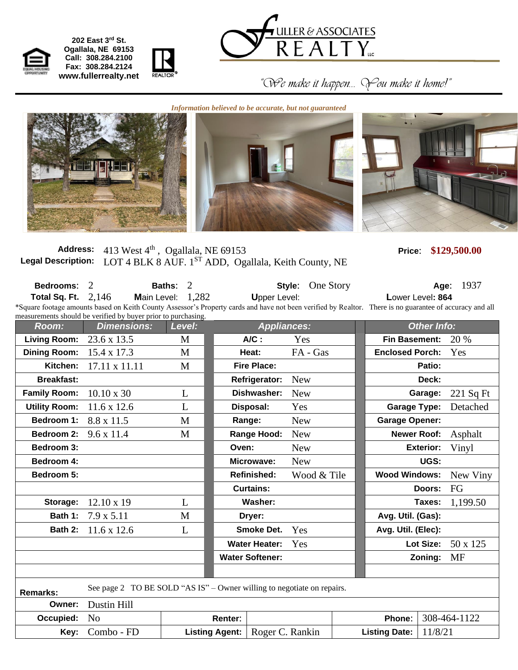

 **202 East 3rd St. Ogallala, NE 69153 Call: 308.284.2100 Fax: 308.284.2124 www.fullerrealty.net**



 *"We make it happen… You make it home!"*

*Information believed to be accurate, but not guaranteed*

**Address:** 413 West 4th , Ogallala, NE 69153 **Price**: **\$129,500.00** Legal Description: LOT 4 BLK 8 AUF. 1<sup>ST</sup> ADD, Ogallala, Keith County, NE

REALTOR

| Bedrooms:<br>Total Sq. Ft. | 2<br>2.146<br><b>Main Level:</b><br>*Square footage amounts based on Keith County Assessor's Property cards and have not been verified by Realtor. There is no guarantee of accuracy and all<br>measurements should be verified by buyer prior to purchasing. | $\overline{2}$<br>Baths:<br>1,282 |                       | Style:<br><b>Upper Level:</b> |                 | One Story          | Lower Level: 864                | Age:             | 1937            |  |
|----------------------------|---------------------------------------------------------------------------------------------------------------------------------------------------------------------------------------------------------------------------------------------------------------|-----------------------------------|-----------------------|-------------------------------|-----------------|--------------------|---------------------------------|------------------|-----------------|--|
| Room:                      | <b>Appliances:</b><br><b>Dimensions:</b><br>Level:                                                                                                                                                                                                            |                                   |                       |                               |                 | <b>Other Info:</b> |                                 |                  |                 |  |
| <b>Living Room:</b>        | 23.6 x 13.5                                                                                                                                                                                                                                                   | M                                 |                       | $A/C$ :                       | Yes             |                    | <b>Fin Basement:</b>            |                  | 20 %            |  |
| <b>Dining Room:</b>        | 15.4 x 17.3                                                                                                                                                                                                                                                   | M                                 |                       | Heat:                         | FA - Gas        |                    | <b>Enclosed Porch:</b>          |                  | Yes             |  |
| Kitchen:                   | 17.11 x 11.11                                                                                                                                                                                                                                                 | M                                 |                       | <b>Fire Place:</b>            |                 |                    |                                 | Patio:           |                 |  |
| <b>Breakfast:</b>          |                                                                                                                                                                                                                                                               |                                   |                       | <b>Refrigerator:</b>          | <b>New</b>      |                    |                                 | Deck:            |                 |  |
| <b>Family Room:</b>        | $10.10 \times 30$                                                                                                                                                                                                                                             | L                                 |                       | Dishwasher:                   | <b>New</b>      |                    |                                 | Garage:          | $221$ Sq Ft     |  |
| <b>Utility Room:</b>       | $11.6 \times 12.6$                                                                                                                                                                                                                                            | L                                 |                       | Disposal:                     | Yes             |                    | <b>Garage Type:</b>             |                  | Detached        |  |
| Bedroom 1:                 | 8.8 x 11.5                                                                                                                                                                                                                                                    | M                                 |                       | Range:                        | <b>New</b>      |                    | <b>Garage Opener:</b>           |                  |                 |  |
| <b>Bedroom 2:</b>          | $9.6 \times 11.4$                                                                                                                                                                                                                                             | M                                 |                       | Range Hood:                   | <b>New</b>      |                    | <b>Newer Roof:</b>              |                  | Asphalt         |  |
| Bedroom 3:                 |                                                                                                                                                                                                                                                               |                                   | Oven:                 |                               | <b>New</b>      |                    |                                 | <b>Exterior:</b> | Vinyl           |  |
| Bedroom 4:                 |                                                                                                                                                                                                                                                               |                                   |                       | Microwave:                    | <b>New</b>      |                    |                                 | UGS:             |                 |  |
| Bedroom 5:                 |                                                                                                                                                                                                                                                               |                                   |                       | <b>Refinished:</b>            | Wood & Tile     |                    | <b>Wood Windows:</b>            |                  | New Viny        |  |
|                            |                                                                                                                                                                                                                                                               |                                   |                       | <b>Curtains:</b>              |                 |                    |                                 | Doors:           | FG              |  |
| Storage:                   | $12.10 \times 19$                                                                                                                                                                                                                                             | L                                 |                       | Washer:                       |                 |                    |                                 | Taxes:           | 1,199.50        |  |
| Bath 1:                    | $7.9 \times 5.11$                                                                                                                                                                                                                                             | M                                 |                       | Dryer:                        |                 |                    | Avg. Util. (Gas):               |                  |                 |  |
| Bath 2:                    | 11.6 x 12.6                                                                                                                                                                                                                                                   | L                                 |                       | <b>Smoke Det.</b>             | Yes             |                    | Avg. Util. (Elec):              |                  |                 |  |
|                            |                                                                                                                                                                                                                                                               |                                   |                       | <b>Water Heater:</b>          | Yes             |                    |                                 | Lot Size:        | $50 \times 125$ |  |
|                            | <b>Water Softener:</b>                                                                                                                                                                                                                                        |                                   |                       |                               |                 |                    |                                 | Zoning:          | <b>MF</b>       |  |
|                            |                                                                                                                                                                                                                                                               |                                   |                       |                               |                 |                    |                                 |                  |                 |  |
| <b>Remarks:</b>            | See page 2 TO BE SOLD "AS IS" – Owner willing to negotiate on repairs.                                                                                                                                                                                        |                                   |                       |                               |                 |                    |                                 |                  |                 |  |
| Owner:                     | Dustin Hill                                                                                                                                                                                                                                                   |                                   |                       |                               |                 |                    |                                 |                  |                 |  |
| Occupied:                  | N <sub>0</sub>                                                                                                                                                                                                                                                |                                   | Renter:               |                               |                 |                    | Phone:                          | 308-464-1122     |                 |  |
| Key:                       | Combo - FD                                                                                                                                                                                                                                                    |                                   | <b>Listing Agent:</b> |                               | Roger C. Rankin |                    | 11/8/21<br><b>Listing Date:</b> |                  |                 |  |